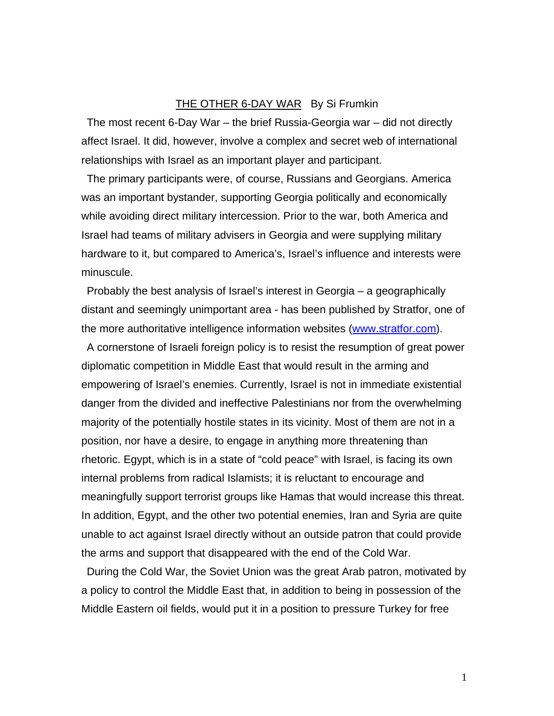## THE OTHER 6-DAY WAR By Si Frumkin

The most recent 6-Day War – the brief Russia-Georgia war – did not directly affect Israel. It did, however, involve a complex and secret web of international relationships with Israel as an important player and participant.

The primary participants were, of course, Russians and Georgians. America was an important bystander, supporting Georgia politically and economically while avoiding direct military intercession. Prior to the war, both America and Israel had teams of military advisers in Georgia and were supplying military hardware to it, but compared to America's, Israel's influence and interests were minuscule.

Probably the best analysis of Israel's interest in Georgia – a geographically distant and seemingly unimportant area - has been published by Stratfor, one of the more authoritative intelligence information websites (www.stratfor.com).

A cornerstone of Israeli foreign policy is to resist the resumption of great power diplomatic competition in Middle East that would result in the arming and empowering of Israel's enemies. Currently, Israel is not in immediate existential danger from the divided and ineffective Palestinians nor from the overwhelming majority of the potentially hostile states in its vicinity. Most of them are not in a position, nor have a desire, to engage in anything more threatening than rhetoric. Egypt, which is in a state of "cold peace" with Israel, is facing its own internal problems from radical Islamists; it is reluctant to encourage and meaningfully support terrorist groups like Hamas that would increase this threat. In addition, Egypt, and the other two potential enemies, Iran and Syria are quite unable to act against Israel directly without an outside patron that could provide the arms and support that disappeared with the end of the Cold War.

During the Cold War, the Soviet Union was the great Arab patron, motivated by a policy to control the Middle East that, in addition to being in possession of the Middle Eastern oil fields, would put it in a position to pressure Turkey for free

1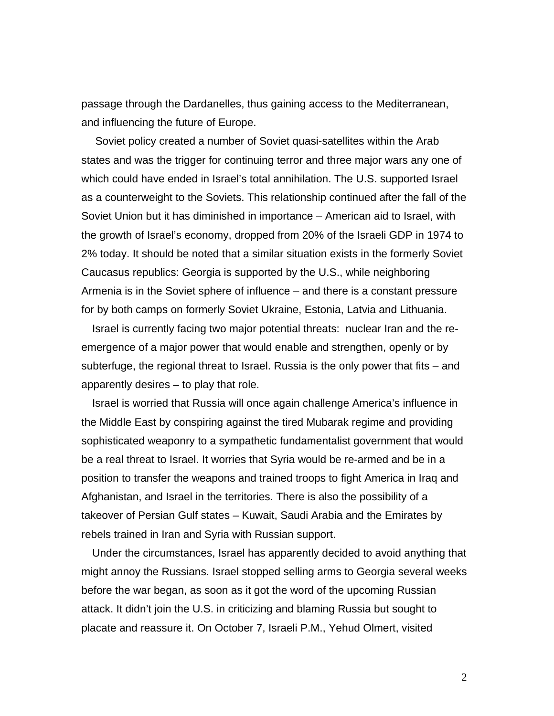passage through the Dardanelles, thus gaining access to the Mediterranean, and influencing the future of Europe.

 Soviet policy created a number of Soviet quasi-satellites within the Arab states and was the trigger for continuing terror and three major wars any one of which could have ended in Israel's total annihilation. The U.S. supported Israel as a counterweight to the Soviets. This relationship continued after the fall of the Soviet Union but it has diminished in importance – American aid to Israel, with the growth of Israel's economy, dropped from 20% of the Israeli GDP in 1974 to 2% today. It should be noted that a similar situation exists in the formerly Soviet Caucasus republics: Georgia is supported by the U.S., while neighboring Armenia is in the Soviet sphere of influence – and there is a constant pressure for by both camps on formerly Soviet Ukraine, Estonia, Latvia and Lithuania.

Israel is currently facing two major potential threats: nuclear Iran and the reemergence of a major power that would enable and strengthen, openly or by subterfuge, the regional threat to Israel. Russia is the only power that fits – and apparently desires – to play that role.

Israel is worried that Russia will once again challenge America's influence in the Middle East by conspiring against the tired Mubarak regime and providing sophisticated weaponry to a sympathetic fundamentalist government that would be a real threat to Israel. It worries that Syria would be re-armed and be in a position to transfer the weapons and trained troops to fight America in Iraq and Afghanistan, and Israel in the territories. There is also the possibility of a takeover of Persian Gulf states – Kuwait, Saudi Arabia and the Emirates by rebels trained in Iran and Syria with Russian support.

Under the circumstances, Israel has apparently decided to avoid anything that might annoy the Russians. Israel stopped selling arms to Georgia several weeks before the war began, as soon as it got the word of the upcoming Russian attack. It didn't join the U.S. in criticizing and blaming Russia but sought to placate and reassure it. On October 7, Israeli P.M., Yehud Olmert, visited

2